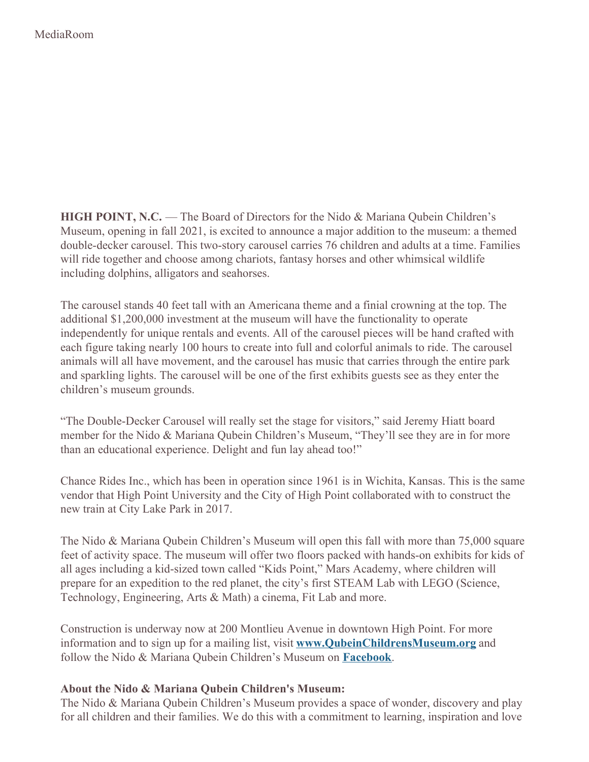**HIGH POINT, N.C.** — The Board of Directors for the Nido & Mariana Qubein Children's Museum, opening in fall 2021, is excited to announce a major addition to the museum: a themed double-decker carousel. This two-story carousel carries 76 children and adults at a time. Families will ride together and choose among chariots, fantasy horses and other whimsical wildlife including dolphins, alligators and seahorses.

The carousel stands 40 feet tall with an Americana theme and a finial crowning at the top. The additional \$1,200,000 investment at the museum will have the functionality to operate independently for unique rentals and events. All of the carousel pieces will be hand crafted with each figure taking nearly 100 hours to create into full and colorful animals to ride. The carousel animals will all have movement, and the carousel has music that carries through the entire park and sparkling lights. The carousel will be one of the first exhibits guests see as they enter the children's museum grounds.

"The Double-Decker Carousel will really set the stage for visitors," said Jeremy Hiatt board member for the Nido & Mariana Qubein Children's Museum, "They'll see they are in for more than an educational experience. Delight and fun lay ahead too!"

Chance Rides Inc., which has been in operation since 1961 is in Wichita, Kansas. This is the same vendor that High Point University and the City of High Point collaborated with to construct the new train at City Lake Park in 2017.

The Nido & Mariana Qubein Children's Museum will open this fall with more than 75,000 square feet of activity space. The museum will offer two floors packed with hands-on exhibits for kids of all ages including a kid-sized town called "Kids Point," Mars Academy, where children will prepare for an expedition to the red planet, the city's first STEAM Lab with LEGO (Science, Technology, Engineering, Arts & Math) a cinema, Fit Lab and more.

Construction is underway now at 200 Montlieu Avenue in downtown High Point. For more information and to sign up for a mailing list, visit **[www.QubeinChildrensMuseum.org](http://www.qubeinchildrensmuseum.org)** and follow the Nido & Mariana Qubein Children's Museum on **[Facebook](https://www.facebook.com/QubeinChildrensMuseum)**.

## **About the Nido & Mariana Qubein Children's Museum:**

The Nido & Mariana Qubein Children's Museum provides a space of wonder, discovery and play for all children and their families. We do this with a commitment to learning, inspiration and love